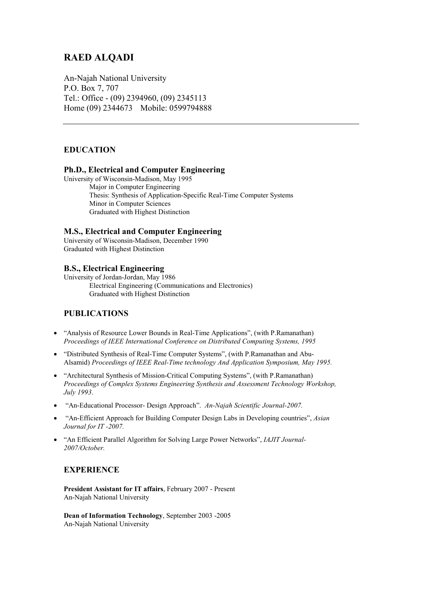## **RAED ALQADI**

An-Najah National University P.O. Box 7, 707 Tel.: Office - (09) 2394960, (09) 2345113 Home (09) 2344673 Mobile: 0599794888

## **EDUCATION**

#### **Ph.D., Electrical and Computer Engineering**

University of Wisconsin-Madison, May 1995 Major in Computer Engineering Thesis: Synthesis of Application-Specific Real-Time Computer Systems Minor in Computer Sciences Graduated with Highest Distinction

## **M.S., Electrical and Computer Engineering**

University of Wisconsin-Madison, December 1990 Graduated with Highest Distinction

## **B.S., Electrical Engineering**

University of Jordan-Jordan, May 1986 Electrical Engineering (Communications and Electronics) Graduated with Highest Distinction

## **PUBLICATIONS**

- "Analysis of Resource Lower Bounds in Real-Time Applications", (with P.Ramanathan) *Proceedings of IEEE International Conference on Distributed Computing Systems, 1995*
- "Distributed Synthesis of Real-Time Computer Systems", (with P.Ramanathan and Abu-Alsamid) *Proceedings of IEEE Real-Time technology And Application Symposium, May 1995.*
- "Architectural Synthesis of Mission-Critical Computing Systems", (with P.Ramanathan) *Proceedings of Complex Systems Engineering Synthesis and Assessment Technology Workshop, July 1993*.
- "An-Educational Processor- Design Approach". *An-Najah Scientific Journal-2007.*
- "An-Efficient Approach for Building Computer Design Labs in Developing countries", *Asian Journal for IT -2007.*
- "An Efficient Parallel Algorithm for Solving Large Power Networks", *IAJIT Journal-2007/October.*

## **EXPERIENCE**

**President Assistant for IT affairs**, February 2007 - Present An-Najah National University

**Dean of Information Technology**, September 2003 -2005 An-Najah National University